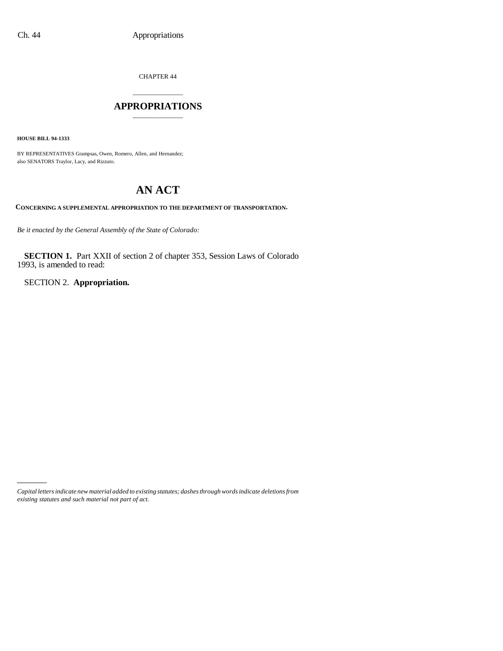CHAPTER 44

# \_\_\_\_\_\_\_\_\_\_\_\_\_\_\_ **APPROPRIATIONS** \_\_\_\_\_\_\_\_\_\_\_\_\_\_\_

**HOUSE BILL 94-1333**

BY REPRESENTATIVES Grampsas, Owen, Romero, Allen, and Hernandez; also SENATORS Traylor, Lacy, and Rizzuto.

# **AN ACT**

**CONCERNING A SUPPLEMENTAL APPROPRIATION TO THE DEPARTMENT OF TRANSPORTATION.**

*Be it enacted by the General Assembly of the State of Colorado:*

**SECTION 1.** Part XXII of section 2 of chapter 353, Session Laws of Colorado 1993, is amended to read:

SECTION 2. **Appropriation.**

*Capital letters indicate new material added to existing statutes; dashes through words indicate deletions from existing statutes and such material not part of act.*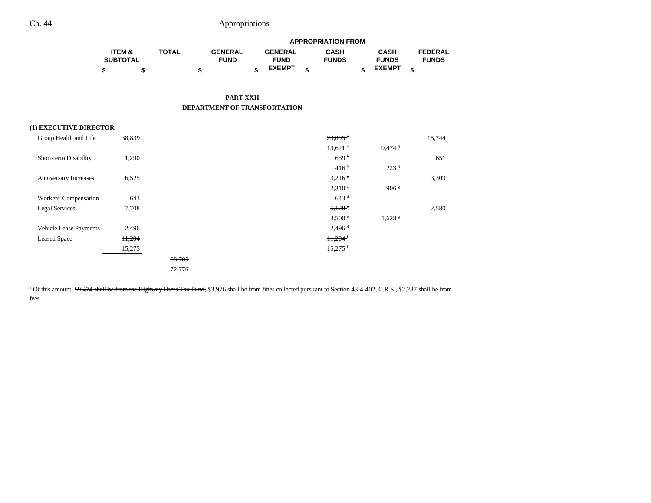|                 |              |                |                | <b>APPROPRIATION FROM</b> |               |                |
|-----------------|--------------|----------------|----------------|---------------------------|---------------|----------------|
| ITEM &          | <b>TOTAL</b> | <b>GENERAL</b> | <b>GENERAL</b> | <b>CASH</b>               | <b>CASH</b>   | <b>FEDERAL</b> |
| <b>SUBTOTAL</b> |              | <b>FUND</b>    | <b>FUND</b>    | <b>FUNDS</b>              | <b>FUNDS</b>  | <b>FUNDS</b>   |
|                 |              | œ              | <b>EXEMPT</b>  |                           | <b>EXEMPT</b> |                |

### **PART XXII DEPARTMENT OF TRANSPORTATION**

## **(1) EXECUTIVE DIRECTOR**

| Group Health and Life  | 38,839 |        |  | $23,095$ <sup>*</sup> |                      | 15,744 |
|------------------------|--------|--------|--|-----------------------|----------------------|--------|
|                        |        |        |  | $13,621$ <sup>a</sup> | $9,474$ s            |        |
| Short-term Disability  | 1,290  |        |  | 639 <sup>b</sup>      |                      | 651    |
|                        |        |        |  | 416 <sup>b</sup>      | 223 <sup>g</sup>     |        |
| Anniversary Increases  | 6,525  |        |  | $3,216$ <sup>c</sup>  |                      | 3,309  |
|                        |        |        |  | 2,310°                | 906 <sup>g</sup>     |        |
| Workers' Compensation  | 643    |        |  | 643 <sup>d</sup>      |                      |        |
| Legal Services         | 7,708  |        |  | $5,128$ <sup>c</sup>  |                      | 2,580  |
|                        |        |        |  | 3,500 e               | $1,628$ <sup>g</sup> |        |
| Vehicle Lease Payments | 2,496  |        |  | $2,496$ <sup>d</sup>  |                      |        |
| <b>Leased Space</b>    | 11,204 |        |  | $H, 204$ <sup>f</sup> |                      |        |
|                        | 15,275 |        |  | $15,275$ <sup>f</sup> |                      |        |
|                        |        | 68,705 |  |                       |                      |        |
|                        |        | 72,776 |  |                       |                      |        |

<sup>a</sup> Of this amount, \$9,474 shall be from the Highway Users Tax Fund, \$3,976 shall be from fines collected pursuant to Section 43-4-402, C.R.S., \$2,287 shall be from fees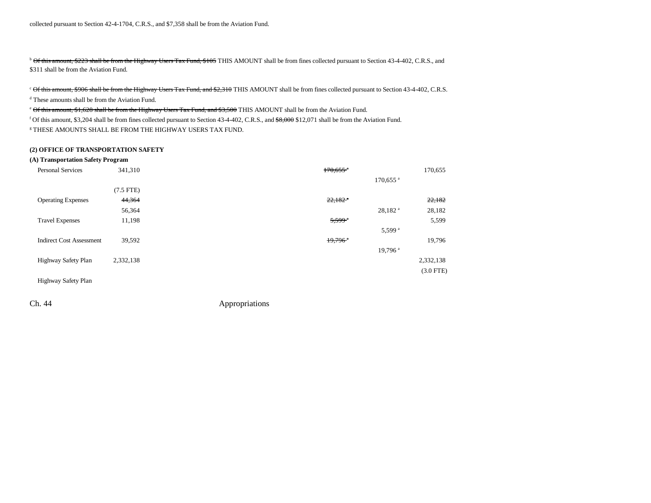<sup>b</sup> Of this amount, \$223 shall be from the Highway Users Tax Fund, \$105 THIS AMOUNT shall be from fines collected pursuant to Section 43-4-402, C.R.S., and \$311 shall be from the Aviation Fund.

<sup>c</sup> Of this amount, \$906 shall be from the Highway Users Tax Fund, and \$2,310 THIS AMOUNT shall be from fines collected pursuant to Section 43-4-402, C.R.S.

d These amounts shall be from the Aviation Fund.

<sup>e</sup> Of this amount, \$1,628 shall be from the Highway Users Tax Fund, and \$3,500 THIS AMOUNT shall be from the Aviation Fund.

f Of this amount, \$3,204 shall be from fines collected pursuant to Section 43-4-402, C.R.S., and \$8,000 \$12,071 shall be from the Aviation Fund. g THESE AMOUNTS SHALL BE FROM THE HIGHWAY USERS TAX FUND.

#### **(2) OFFICE OF TRANSPORTATION SAFETY**

#### **(A) Transportation Safety Program**

| <b>Personal Services</b>        | 341,310     | $170,655$ <sup>a</sup> | 170,655     |
|---------------------------------|-------------|------------------------|-------------|
|                                 |             | 170,655 <sup>a</sup>   |             |
|                                 | $(7.5$ FTE) |                        |             |
| <b>Operating Expenses</b>       | 44,364      | $22,182$ <sup>a</sup>  | 22,182      |
|                                 | 56,364      | $28,182$ <sup>a</sup>  | 28,182      |
| <b>Travel Expenses</b>          | 11,198      | $5,599$ <sup>a</sup>   | 5,599       |
|                                 |             | 5,599 <sup>a</sup>     |             |
| <b>Indirect Cost Assessment</b> | 39,592      | $19,796$ <sup>a</sup>  | 19,796      |
|                                 |             | $19,796$ <sup>a</sup>  |             |
| Highway Safety Plan             | 2,332,138   |                        | 2,332,138   |
|                                 |             |                        | $(3.0$ FTE) |
| Highway Safety Plan             |             |                        |             |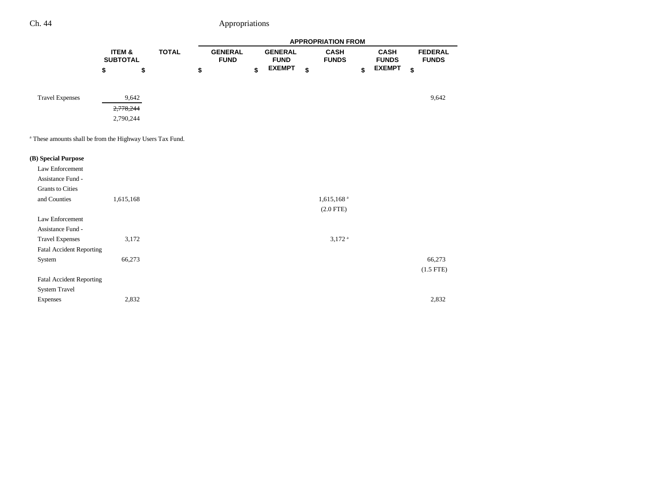|                                                                      |                                      |    |              |                               |                               | <b>APPROPRIATION FROM</b>   |                             |                                |
|----------------------------------------------------------------------|--------------------------------------|----|--------------|-------------------------------|-------------------------------|-----------------------------|-----------------------------|--------------------------------|
|                                                                      | <b>ITEM &amp;</b><br><b>SUBTOTAL</b> |    | <b>TOTAL</b> | <b>GENERAL</b><br><b>FUND</b> | <b>GENERAL</b><br><b>FUND</b> | <b>CASH</b><br><b>FUNDS</b> | <b>CASH</b><br><b>FUNDS</b> | <b>FEDERAL</b><br><b>FUNDS</b> |
|                                                                      | \$                                   | \$ |              | \$                            | \$<br><b>EXEMPT</b>           | \$                          | \$<br><b>EXEMPT</b>         | \$                             |
| <b>Travel Expenses</b>                                               | 9,642                                |    |              |                               |                               |                             |                             | 9,642                          |
|                                                                      | 2,778,244                            |    |              |                               |                               |                             |                             |                                |
|                                                                      | 2,790,244                            |    |              |                               |                               |                             |                             |                                |
| <sup>a</sup> These amounts shall be from the Highway Users Tax Fund. |                                      |    |              |                               |                               |                             |                             |                                |
| (B) Special Purpose                                                  |                                      |    |              |                               |                               |                             |                             |                                |
| Law Enforcement                                                      |                                      |    |              |                               |                               |                             |                             |                                |
| Assistance Fund -                                                    |                                      |    |              |                               |                               |                             |                             |                                |
| <b>Grants</b> to Cities                                              |                                      |    |              |                               |                               |                             |                             |                                |
| and Counties                                                         | 1,615,168                            |    |              |                               |                               | 1,615,168 <sup>a</sup>      |                             |                                |
|                                                                      |                                      |    |              |                               |                               | $(2.0$ FTE)                 |                             |                                |
| Law Enforcement                                                      |                                      |    |              |                               |                               |                             |                             |                                |
| Assistance Fund -                                                    |                                      |    |              |                               |                               |                             |                             |                                |
| <b>Travel Expenses</b>                                               | 3,172                                |    |              |                               |                               | $3,172$ <sup>a</sup>        |                             |                                |
| <b>Fatal Accident Reporting</b>                                      |                                      |    |              |                               |                               |                             |                             |                                |
| System                                                               | 66,273                               |    |              |                               |                               |                             |                             | 66,273                         |
|                                                                      |                                      |    |              |                               |                               |                             |                             | $(1.5$ FTE)                    |
| <b>Fatal Accident Reporting</b>                                      |                                      |    |              |                               |                               |                             |                             |                                |
| <b>System Travel</b>                                                 |                                      |    |              |                               |                               |                             |                             |                                |
| Expenses                                                             | 2,832                                |    |              |                               |                               |                             |                             | 2,832                          |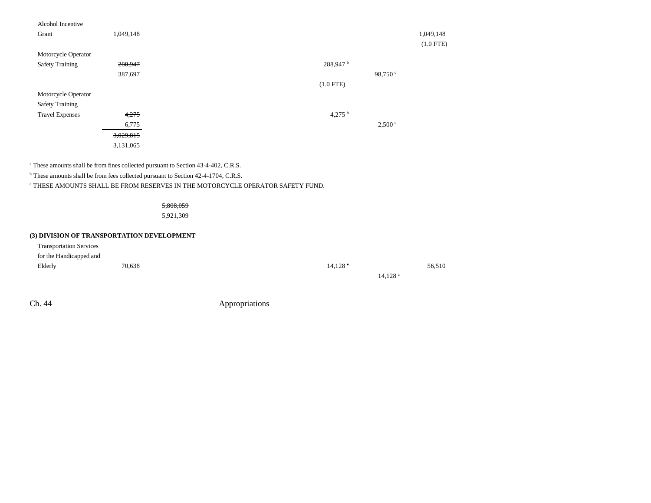| Alcohol Incentive      |           |                      |             |
|------------------------|-----------|----------------------|-------------|
| Grant                  | 1,049,148 |                      | 1,049,148   |
|                        |           |                      | $(1.0$ FTE) |
| Motorcycle Operator    |           |                      |             |
| <b>Safety Training</b> | 288,947   | 288,947 <sup>b</sup> |             |
|                        | 387,697   | 98,750 $\degree$     |             |
|                        |           | $(1.0$ FTE)          |             |
| Motorcycle Operator    |           |                      |             |
| <b>Safety Training</b> |           |                      |             |
| <b>Travel Expenses</b> | 4,275     | 4,275 $^{\rm b}$     |             |
|                        | 6,775     | 2,500 °              |             |
|                        | 3,029,815 |                      |             |
|                        | 3,131,065 |                      |             |

<sup>a</sup> These amounts shall be from fines collected pursuant to Section 43-4-402, C.R.S.

b These amounts shall be from fees collected pursuant to Section 42-4-1704, C.R.S.

 $^\circ$  THESE AMOUNTS SHALL BE FROM RESERVES IN THE MOTORCYCLE OPERATOR SAFETY FUND.

5,808,059

5,921,309

## **(3) DIVISION OF TRANSPORTATION DEVELOPMENT**

| <b>Transportation Services</b> |        |        |                     |        |
|--------------------------------|--------|--------|---------------------|--------|
| for the Handicapped and        |        |        |                     |        |
| Elderly                        | 70,638 | 14,128 |                     | 56,510 |
|                                |        |        | 14.128 <sup>a</sup> |        |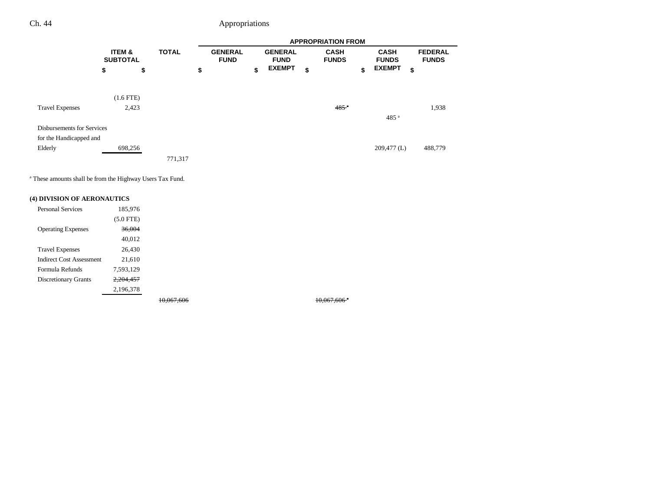|                                   |                                      |         |                               |                               | <b>APPROPRIATION FROM</b>   |                             |                                |
|-----------------------------------|--------------------------------------|---------|-------------------------------|-------------------------------|-----------------------------|-----------------------------|--------------------------------|
|                                   | <b>ITEM &amp;</b><br><b>SUBTOTAL</b> |         | <b>GENERAL</b><br><b>FUND</b> | <b>GENERAL</b><br><b>FUND</b> | <b>CASH</b><br><b>FUNDS</b> | <b>CASH</b><br><b>FUNDS</b> | <b>FEDERAL</b><br><b>FUNDS</b> |
|                                   | \$<br>\$                             |         | \$                            | \$<br><b>EXEMPT</b>           | \$                          | \$<br><b>EXEMPT</b>         | \$                             |
|                                   | $(1.6$ FTE)                          |         |                               |                               |                             |                             |                                |
| <b>Travel Expenses</b>            | 2,423                                |         |                               |                               | $485$ <sup>a</sup>          | 485 <sup>a</sup>            | 1,938                          |
| <b>Disbursements for Services</b> |                                      |         |                               |                               |                             |                             |                                |
| for the Handicapped and           |                                      |         |                               |                               |                             |                             |                                |
| Elderly                           | 698,256                              |         |                               |                               |                             | $209,477$ (L)               | 488,779                        |
|                                   |                                      | 771,317 |                               |                               |                             |                             |                                |

a These amounts shall be from the Highway Users Tax Fund.

## **(4) DIVISION OF AERONAUTICS**

| <b>Personal Services</b>    | 185.976     |  |
|-----------------------------|-------------|--|
|                             | $(5.0$ FTE) |  |
| <b>Operating Expenses</b>   | 36,004      |  |
|                             | 40,012      |  |
| <b>Travel Expenses</b>      | 26.430      |  |
| Indirect Cost Assessment    | 21,610      |  |
| Formula Refunds             | 7,593,129   |  |
| <b>Discretionary Grants</b> | 2,204,457   |  |
|                             | 2,196,378   |  |
|                             |             |  |

10,067,606 **10,067,606**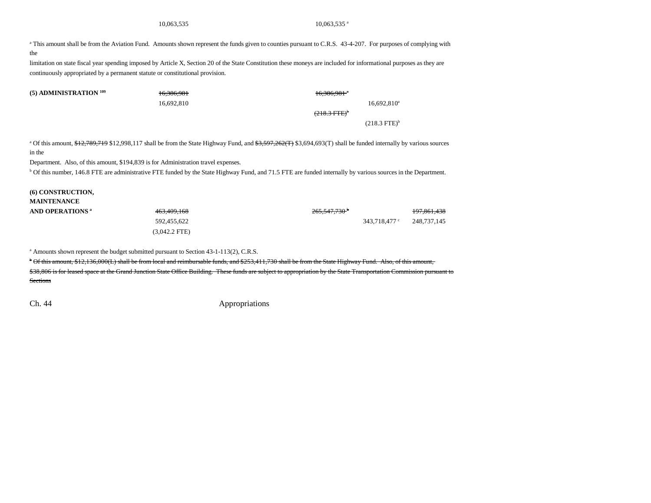<sup>a</sup> This amount shall be from the Aviation Fund. Amounts shown represent the funds given to counties pursuant to C.R.S. 43-4-207. For purposes of complying with

limitation on state fiscal year spending imposed by Article X, Section 20 of the State Constitution these moneys are included for informational purposes as they are continuously appropriated by a permanent statute or constitutional provision.

| $(5)$ ADMINISTRATION $^{109}$ | 16.386.981 | 16.386.981 |
|-------------------------------|------------|------------|
|                               |            |            |

16,692,810 16,692,810

 $(218.3 \text{ FFE})^{\circ}$ 

 $(218.3 \text{ FTE})^b$ 

<sup>a</sup> Of this amount, \$12,789,719 \$12,998,117 shall be from the State Highway Fund, and \$3,597,262(T) \$3,694,693(T) shall be funded internally by various sources in the

Department. Also, of this amount, \$194,839 is for Administration travel expenses.

b Of this number, 146.8 FTE are administrative FTE funded by the State Highway Fund, and 71.5 FTE are funded internally by various sources in the Department.

| (6) CONSTRUCTION,                 |                         |                    |               |             |
|-----------------------------------|-------------------------|--------------------|---------------|-------------|
| <b>MAINTENANCE</b>                |                         |                    |               |             |
| <b>AND OPERATIONS<sup>a</sup></b> | 463.409.168             | $265.547.730^{+1}$ |               | 197,861,438 |
|                                   | 592.455.622             |                    | 343.718.477 ° | 248.737.145 |
|                                   | $(3.042.2 \text{ FTE})$ |                    |               |             |

<sup>a</sup> Amounts shown represent the budget submitted pursuant to Section 43-1-113(2), C.R.S.

<sup>b</sup> Of this amount, \$12,136,000(L) shall be from local and reimbursable funds, and \$253,411,730 shall be from the State Highway Fund. Also, of this amount, \$38,806 is for leased space at the Grand Junction State Office Building. These funds are subject to appropriation by the State Transportation Commission pursuant to Sections

Ch. 44 Appropriations

the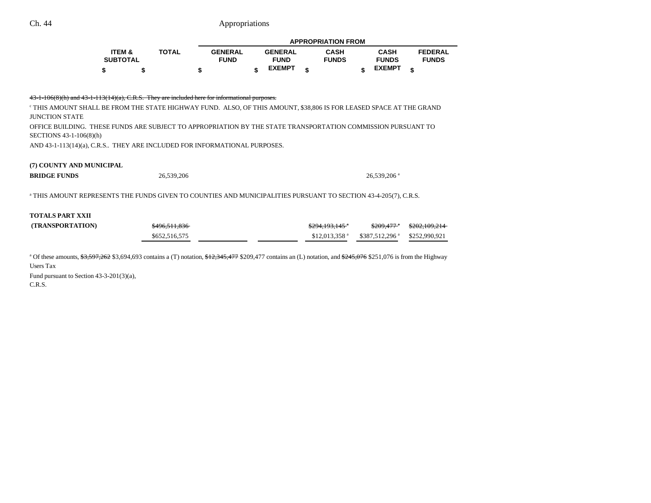|                   |              |                |                | <b>APPROPRIATION FROM</b> |               |   |                |
|-------------------|--------------|----------------|----------------|---------------------------|---------------|---|----------------|
| <b>ITEM &amp;</b> | <b>TOTAL</b> | <b>GENERAL</b> | <b>GENERAL</b> | <b>CASH</b>               | CASH          |   | <b>FEDERAL</b> |
| <b>SUBTOTAL</b>   |              | <b>FUND</b>    | <b>FUND</b>    | <b>FUNDS</b>              | <b>FUNDS</b>  |   | <b>FUNDS</b>   |
|                   |              |                | <b>EXEMPT</b>  |                           | <b>EXEMPT</b> | ¢ |                |

#### 43-1-106(8)(h) and 43-1-113(14)(a), C.R.S. They are included here for informational purposes.

c THIS AMOUNT SHALL BE FROM THE STATE HIGHWAY FUND. ALSO, OF THIS AMOUNT, \$38,806 IS FOR LEASED SPACE AT THE GRAND JUNCTION STATE OFFICE BUILDING. THESE FUNDS ARE SUBJECT TO APPROPRIATION BY THE STATE TRANSPORTATION COMMISSION PURSUANT TOSECTIONS 43-1-106(8)(h)

AND 43-1-113(14)(a), C.R.S.. THEY ARE INCLUDED FOR INFORMATIONAL PURPOSES.

#### **(7) COUNTY AND MUNICIPAL**

| <b>BRIDGE FUNDS</b> | 26,539,206 | 26,539,206 |
|---------------------|------------|------------|
|---------------------|------------|------------|

a THIS AMOUNT REPRESENTS THE FUNDS GIVEN TO COUNTIES AND MUNICIPALITIES PURSUANT TO SECTION 43-4-205(7), C.R.S.

#### **TOTALS PART XXII**

| <b>(TRANSPORTATION)</b> | \$496,511,836 | $$294.193.145$ <sup>a</sup> | $$209.477$ $*$                                                        | \$202,109,214 |
|-------------------------|---------------|-----------------------------|-----------------------------------------------------------------------|---------------|
|                         | \$652,516,575 |                             | $$12.013.358$ <sup>a</sup> $$387.512.296$ <sup>a</sup> $$252.990.921$ |               |

<sup>a</sup> Of these amounts,  $\frac{63}{57}$ ,  $\frac{597}{262}$  \$3,694,693 contains a (T) notation,  $\frac{612}{345}$ ,  $\frac{477}{3209}$ ,  $\frac{477}{3209}$ ,  $\frac{477}{3209}$ ,  $\frac{477}{3209}$ ,  $\frac{477}{3209}$ ,  $\frac{477}{3209}$ ,  $\frac{477}{3209}$ ,  $\frac{477}{3$ Users Tax

Fund pursuant to Section 43-3-201(3)(a), C.R.S.